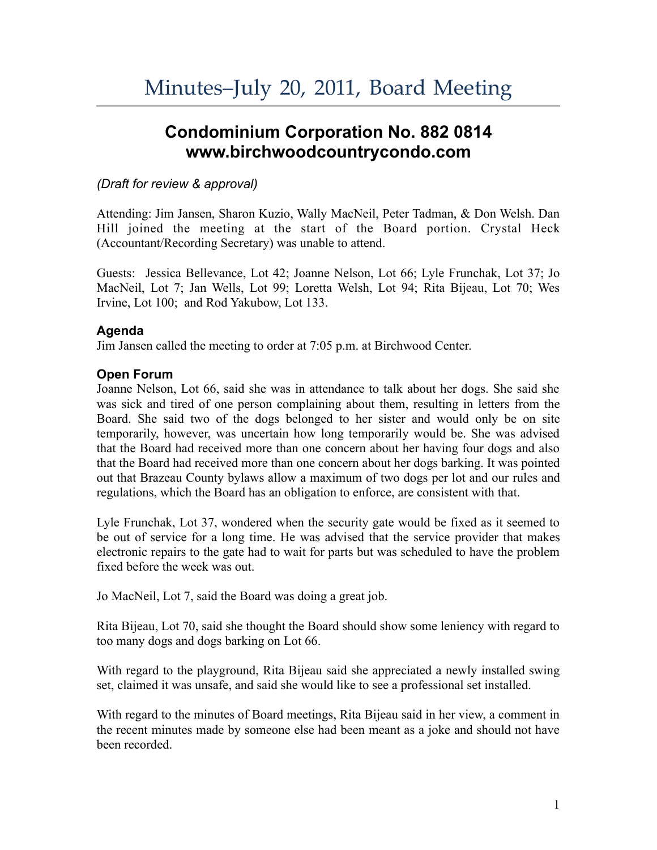# **Condominium Corporation No. 882 0814 www.birchwoodcountrycondo.com**

# *(Draft for review & approval)*

Attending: Jim Jansen, Sharon Kuzio, Wally MacNeil, Peter Tadman, & Don Welsh. Dan Hill joined the meeting at the start of the Board portion. Crystal Heck (Accountant/Recording Secretary) was unable to attend.

Guests: Jessica Bellevance, Lot 42; Joanne Nelson, Lot 66; Lyle Frunchak, Lot 37; Jo MacNeil, Lot 7; Jan Wells, Lot 99; Loretta Welsh, Lot 94; Rita Bijeau, Lot 70; Wes Irvine, Lot 100; and Rod Yakubow, Lot 133.

# **Agenda**

Jim Jansen called the meeting to order at 7:05 p.m. at Birchwood Center.

# **Open Forum**

Joanne Nelson, Lot 66, said she was in attendance to talk about her dogs. She said she was sick and tired of one person complaining about them, resulting in letters from the Board. She said two of the dogs belonged to her sister and would only be on site temporarily, however, was uncertain how long temporarily would be. She was advised that the Board had received more than one concern about her having four dogs and also that the Board had received more than one concern about her dogs barking. It was pointed out that Brazeau County bylaws allow a maximum of two dogs per lot and our rules and regulations, which the Board has an obligation to enforce, are consistent with that.

Lyle Frunchak, Lot 37, wondered when the security gate would be fixed as it seemed to be out of service for a long time. He was advised that the service provider that makes electronic repairs to the gate had to wait for parts but was scheduled to have the problem fixed before the week was out.

Jo MacNeil, Lot 7, said the Board was doing a great job.

Rita Bijeau, Lot 70, said she thought the Board should show some leniency with regard to too many dogs and dogs barking on Lot 66.

With regard to the playground, Rita Bijeau said she appreciated a newly installed swing set, claimed it was unsafe, and said she would like to see a professional set installed.

With regard to the minutes of Board meetings, Rita Bijeau said in her view, a comment in the recent minutes made by someone else had been meant as a joke and should not have been recorded.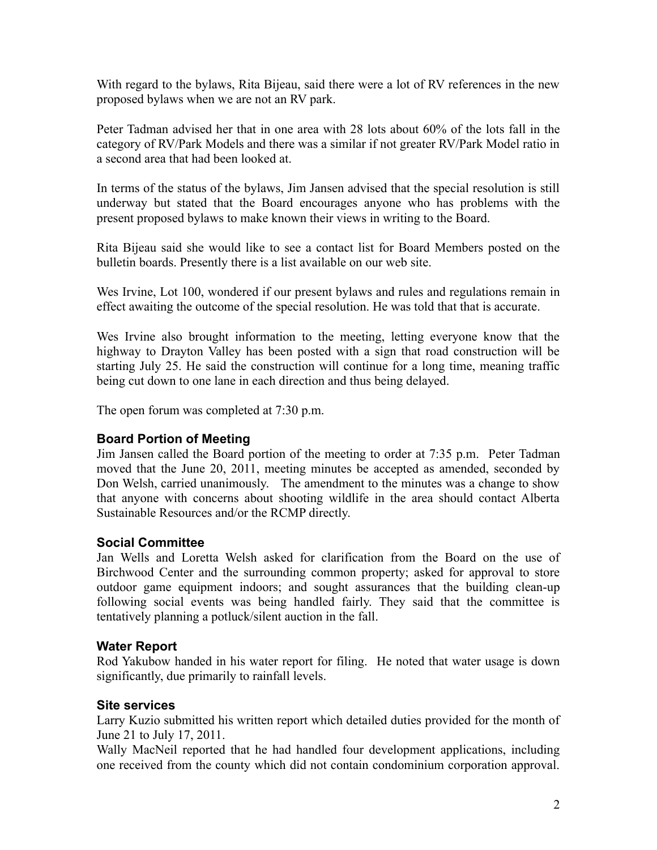With regard to the bylaws, Rita Bijeau, said there were a lot of RV references in the new proposed bylaws when we are not an RV park.

Peter Tadman advised her that in one area with 28 lots about 60% of the lots fall in the category of RV/Park Models and there was a similar if not greater RV/Park Model ratio in a second area that had been looked at.

In terms of the status of the bylaws, Jim Jansen advised that the special resolution is still underway but stated that the Board encourages anyone who has problems with the present proposed bylaws to make known their views in writing to the Board.

Rita Bijeau said she would like to see a contact list for Board Members posted on the bulletin boards. Presently there is a list available on our web site.

Wes Irvine, Lot 100, wondered if our present bylaws and rules and regulations remain in effect awaiting the outcome of the special resolution. He was told that that is accurate.

Wes Irvine also brought information to the meeting, letting everyone know that the highway to Drayton Valley has been posted with a sign that road construction will be starting July 25. He said the construction will continue for a long time, meaning traffic being cut down to one lane in each direction and thus being delayed.

The open forum was completed at 7:30 p.m.

## **Board Portion of Meeting**

Jim Jansen called the Board portion of the meeting to order at 7:35 p.m. Peter Tadman moved that the June 20, 2011, meeting minutes be accepted as amended, seconded by Don Welsh, carried unanimously. The amendment to the minutes was a change to show that anyone with concerns about shooting wildlife in the area should contact Alberta Sustainable Resources and/or the RCMP directly.

## **Social Committee**

Jan Wells and Loretta Welsh asked for clarification from the Board on the use of Birchwood Center and the surrounding common property; asked for approval to store outdoor game equipment indoors; and sought assurances that the building clean-up following social events was being handled fairly. They said that the committee is tentatively planning a potluck/silent auction in the fall.

## **Water Report**

Rod Yakubow handed in his water report for filing. He noted that water usage is down significantly, due primarily to rainfall levels.

## **Site services**

Larry Kuzio submitted his written report which detailed duties provided for the month of June 21 to July 17, 2011.

Wally MacNeil reported that he had handled four development applications, including one received from the county which did not contain condominium corporation approval.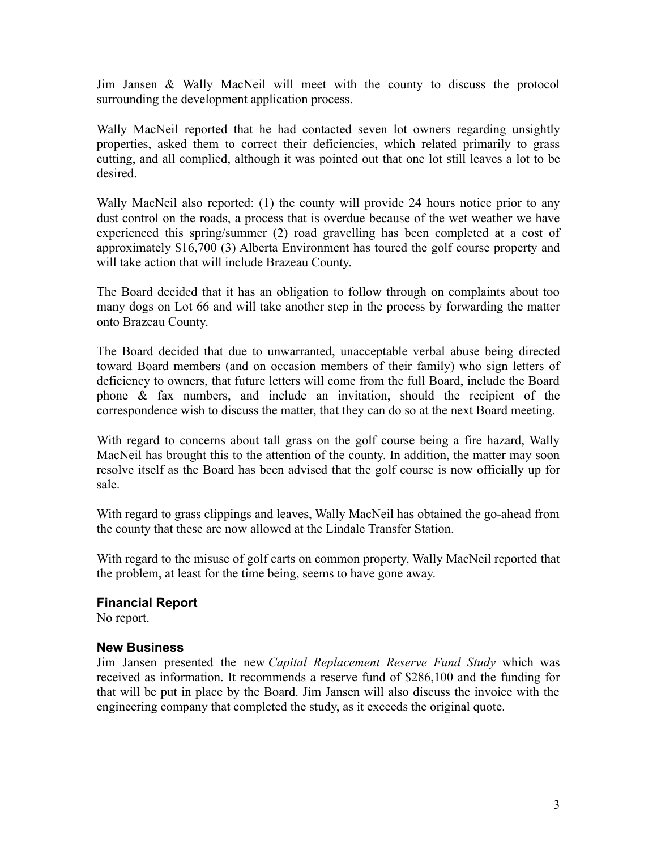Jim Jansen & Wally MacNeil will meet with the county to discuss the protocol surrounding the development application process.

Wally MacNeil reported that he had contacted seven lot owners regarding unsightly properties, asked them to correct their deficiencies, which related primarily to grass cutting, and all complied, although it was pointed out that one lot still leaves a lot to be desired.

Wally MacNeil also reported: (1) the county will provide 24 hours notice prior to any dust control on the roads, a process that is overdue because of the wet weather we have experienced this spring/summer (2) road gravelling has been completed at a cost of approximately \$16,700 (3) Alberta Environment has toured the golf course property and will take action that will include Brazeau County.

The Board decided that it has an obligation to follow through on complaints about too many dogs on Lot 66 and will take another step in the process by forwarding the matter onto Brazeau County.

The Board decided that due to unwarranted, unacceptable verbal abuse being directed toward Board members (and on occasion members of their family) who sign letters of deficiency to owners, that future letters will come from the full Board, include the Board phone & fax numbers, and include an invitation, should the recipient of the correspondence wish to discuss the matter, that they can do so at the next Board meeting.

With regard to concerns about tall grass on the golf course being a fire hazard, Wally MacNeil has brought this to the attention of the county. In addition, the matter may soon resolve itself as the Board has been advised that the golf course is now officially up for sale.

With regard to grass clippings and leaves, Wally MacNeil has obtained the go-ahead from the county that these are now allowed at the Lindale Transfer Station.

With regard to the misuse of golf carts on common property, Wally MacNeil reported that the problem, at least for the time being, seems to have gone away.

## **Financial Report**

No report.

#### **New Business**

Jim Jansen presented the new *Capital Replacement Reserve Fund Study* which was received as information. It recommends a reserve fund of \$286,100 and the funding for that will be put in place by the Board. Jim Jansen will also discuss the invoice with the engineering company that completed the study, as it exceeds the original quote.